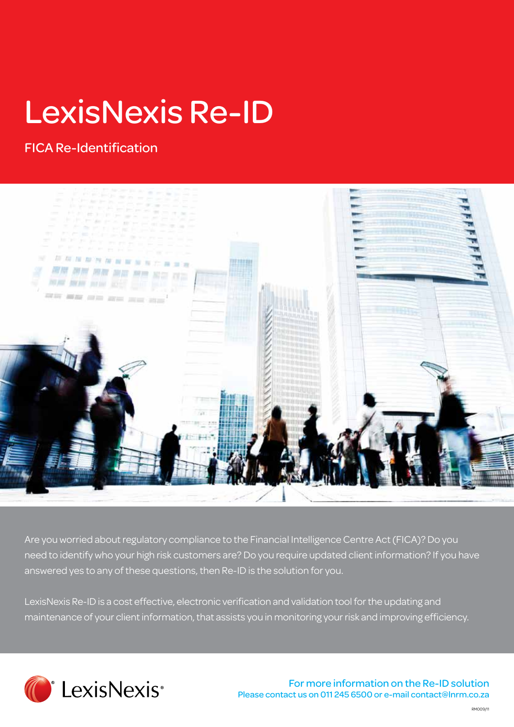# LexisNexis Re-ID

## FICA Re-Identification



Are you worried about regulatory compliance to the Financial Intelligence Centre Act (FICA)? Do you need to identify who your high risk customers are? Do you require updated client information? If you have answered yes to any of these questions, then Re-ID is the solution for you.

LexisNexis Re-ID is a cost effective, electronic verification and validation tool for the updating and maintenance of your client information, that assists you in monitoring your risk and improving efficiency.



For more information on the Re-ID solution Please contact us on 011 245 6500 or e-mail contact@lnrm.co.za